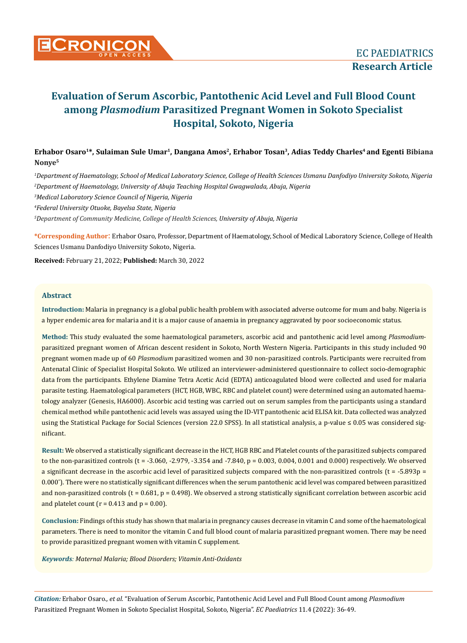

# Erhabor Osaro<sup>1\*</sup>, Sulaiman Sule Umar<sup>1</sup>, Dangana Amos<sup>2</sup>, Erhabor Tosan<sup>3</sup>, Adias Teddy Charles<sup>4</sup> and Egenti Bibiana **Nonye5**

 *Department of Haematology, School of Medical Laboratory Science, College of Health Sciences Usmanu Danfodiyo University Sokoto, Nigeria Department of Haematology, University of Abuja Teaching Hospital Gwagwalada, Abuja, Nigeria Medical Laboratory Science Council of Nigeria, Nigeria Federal University Otuoke, Bayelsa State, Nigeria Department of Community Medicine, College of Health Sciences, University of Abuja, Nigeria*

**\*Corresponding Author**: Erhabor Osaro, Professor, Department of Haematology, School of Medical Laboratory Science, College of Health Sciences Usmanu Danfodiyo University Sokoto, Nigeria.

**Received:** February 21, 2022; **Published:** March 30, 2022

#### **Abstract**

**Introduction:** Malaria in pregnancy is a global public health problem with associated adverse outcome for mum and baby. Nigeria is a hyper endemic area for malaria and it is a major cause of anaemia in pregnancy aggravated by poor socioeconomic status.

**Method:** This study evaluated the some haematological parameters, ascorbic acid and pantothenic acid level among *Plasmodium*parasitized pregnant women of African descent resident in Sokoto, North Western Nigeria. Participants in this study included 90 pregnant women made up of 60 *Plasmodium* parasitized women and 30 non-parasitized controls. Participants were recruited from Antenatal Clinic of Specialist Hospital Sokoto. We utilized an interviewer-administered questionnaire to collect socio-demographic data from the participants. Ethylene Diamine Tetra Acetic Acid (EDTA) anticoagulated blood were collected and used for malaria parasite testing. Haematological parameters (HCT, HGB, WBC, RBC and platelet count) were determined using an automated haematology analyzer (Genesis, HA6000). Ascorbic acid testing was carried out on serum samples from the participants using a standard chemical method while pantothenic acid levels was assayed using the ID-VIT pantothenic acid ELISA kit. Data collected was analyzed using the Statistical Package for Social Sciences (version 22.0 SPSS). In all statistical analysis, a p-value ≤ 0.05 was considered significant.

**Result:** We observed a statistically significant decrease in the HCT, HGB RBC and Platelet counts of the parasitized subjects compared to the non-parasitized controls  $(t = -3.060, -2.979, -3.354, -3.040, p = 0.003, 0.004, 0.001,$  and 0.000) respectively. We observed a significant decrease in the ascorbic acid level of parasitized subjects compared with the non-parasitized controls  $(t = -5.893p =$ 0.000\* ). There were no statistically significant differences when the serum pantothenic acid level was compared between parasitized and non-parasitized controls  $(t = 0.681, p = 0.498)$ . We observed a strong statistically significant correlation between ascorbic acid and platelet count ( $r = 0.413$  and  $p = 0.00$ ).

**Conclusion:** Findings of this study has shown that malaria in pregnancy causes decrease in vitamin C and some of the haematological parameters. There is need to monitor the vitamin C and full blood count of malaria parasitized pregnant women. There may be need to provide parasitized pregnant women with vitamin C supplement.

*Keywords: Maternal Malaria; Blood Disorders; Vitamin Anti-Oxidants*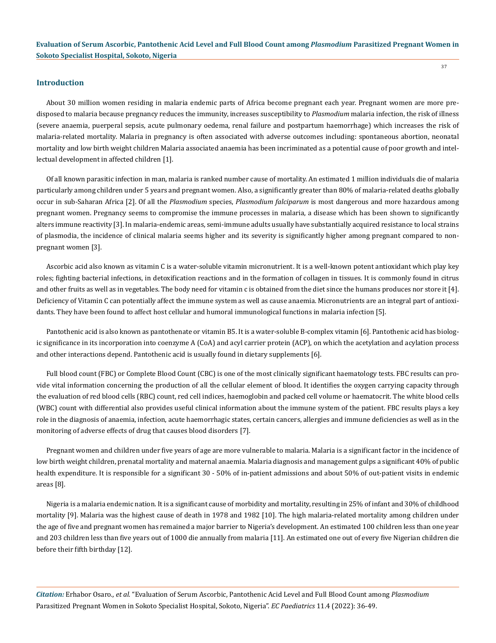#### **Introduction**

About 30 million women residing in malaria endemic parts of Africa become pregnant each year. Pregnant women are more predisposed to malaria because pregnancy reduces the immunity, increases susceptibility to *Plasmodium* malaria infection, the risk of illness (severe anaemia, puerperal sepsis, acute pulmonary oedema, renal failure and postpartum haemorrhage) which increases the risk of malaria-related mortality. Malaria in pregnancy is often associated with adverse outcomes including: spontaneous abortion, neonatal mortality and low birth weight children Malaria associated anaemia has been incriminated as a potential cause of poor growth and intellectual development in affected children [1].

Of all known parasitic infection in man, malaria is ranked number cause of mortality. An estimated 1 million individuals die of malaria particularly among children under 5 years and pregnant women. Also, a significantly greater than 80% of malaria-related deaths globally occur in sub-Saharan Africa [2]. Of all the *Plasmodium* species, *Plasmodium falciparum* is most dangerous and more hazardous among pregnant women. Pregnancy seems to compromise the immune processes in malaria, a disease which has been shown to significantly alters immune reactivity [3]. In malaria-endemic areas, semi-immune adults usually have substantially acquired resistance to local strains of plasmodia, the incidence of clinical malaria seems higher and its severity is significantly higher among pregnant compared to nonpregnant women [3].

Ascorbic acid also known as vitamin C is a water-soluble vitamin micronutrient. It is a well-known potent antioxidant which play key roles; fighting bacterial infections, in detoxification reactions and in the formation of collagen in tissues. It is commonly found in citrus and other fruits as well as in vegetables. The body need for vitamin c is obtained from the diet since the humans produces nor store it [4]. Deficiency of Vitamin C can potentially affect the immune system as well as cause anaemia. Micronutrients are an integral part of antioxidants. They have been found to affect host cellular and humoral immunological functions in malaria infection [5].

Pantothenic acid is also known as pantothenate or vitamin B5. It is a water-soluble B-complex vitamin [6]. Pantothenic acid has biologic significance in its incorporation into coenzyme A (CoA) and acyl carrier protein (ACP), on which the acetylation and acylation process and other interactions depend. Pantothenic acid is usually found in dietary supplements [6].

Full blood count (FBC) or Complete Blood Count (CBC) is one of the most clinically significant haematology tests. FBC results can provide vital information concerning the production of all the cellular element of blood. It identifies the oxygen carrying capacity through the evaluation of red blood cells (RBC) count, red cell indices, haemoglobin and packed cell volume or haematocrit. The white blood cells (WBC) count with differential also provides useful clinical information about the immune system of the patient. FBC results plays a key role in the diagnosis of anaemia, infection, acute haemorrhagic states, certain cancers, allergies and immune deficiencies as well as in the monitoring of adverse effects of drug that causes blood disorders [7].

Pregnant women and children under five years of age are more vulnerable to malaria. Malaria is a significant factor in the incidence of low birth weight children, prenatal mortality and maternal anaemia. Malaria diagnosis and management gulps a significant 40% of public health expenditure. It is responsible for a significant 30 - 50% of in-patient admissions and about 50% of out-patient visits in endemic areas [8].

Nigeria is a malaria endemic nation. It is a significant cause of morbidity and mortality, resulting in 25% of infant and 30% of childhood mortality [9]. Malaria was the highest cause of death in 1978 and 1982 [10]. The high malaria-related mortality among children under the age of five and pregnant women has remained a major barrier to Nigeria's development. An estimated 100 children less than one year and 203 children less than five years out of 1000 die annually from malaria [11]. An estimated one out of every five Nigerian children die before their fifth birthday [12].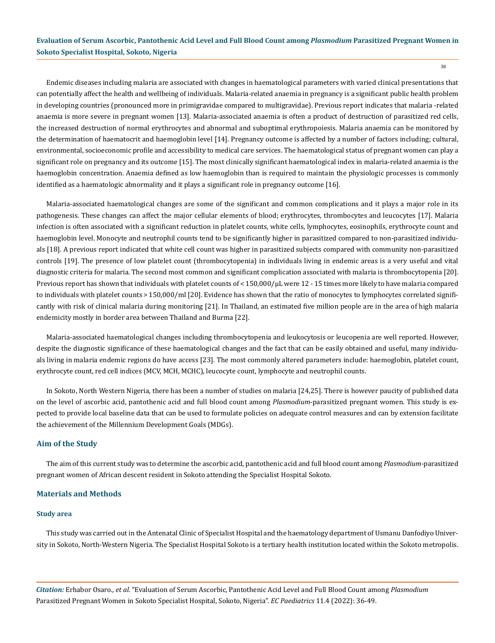Endemic diseases including malaria are associated with changes in haematological parameters with varied clinical presentations that can potentially affect the health and wellbeing of individuals. Malaria-related anaemia in pregnancy is a significant public health problem in developing countries (pronounced more in primigravidae compared to multigravidae). Previous report indicates that malaria -related anaemia is more severe in pregnant women [13]. Malaria-associated anaemia is often a product of destruction of parasitized red cells, the increased destruction of normal erythrocytes and abnormal and suboptimal erythropoiesis. Malaria anaemia can be monitored by the determination of haematocrit and haemoglobin level [14]. Pregnancy outcome is affected by a number of factors including; cultural, environmental, socioeconomic profile and accessibility to medical care services. The haematological status of pregnant women can play a significant role on pregnancy and its outcome [15]. The most clinically significant haematological index in malaria-related anaemia is the haemoglobin concentration. Anaemia defined as low haemoglobin than is required to maintain the physiologic processes is commonly identified as a haematologic abnormality and it plays a significant role in pregnancy outcome [16].

Malaria-associated haematological changes are some of the significant and common complications and it plays a major role in its pathogenesis. These changes can affect the major cellular elements of blood; erythrocytes, thrombocytes and leucocytes [17]. Malaria infection is often associated with a significant reduction in platelet counts, white cells, lymphocytes, eosinophils, erythrocyte count and haemoglobin level. Monocyte and neutrophil counts tend to be significantly higher in parasitized compared to non-parasitized individuals [18]. A previous report indicated that white cell count was higher in parasitized subjects compared with community non-parasitized controls [19]. The presence of low platelet count (thrombocytopenia) in individuals living in endemic areas is a very useful and vital diagnostic criteria for malaria. The second most common and significant complication associated with malaria is thrombocytopenia [20]. Previous report has shown that individuals with platelet counts of < 150,000/μL were 12 - 15 times more likely to have malaria compared to individuals with platelet counts > 150,000/ml [20]. Evidence has shown that the ratio of monocytes to lymphocytes correlated significantly with risk of clinical malaria during monitoring [21]. In Thailand, an estimated five million people are in the area of high malaria endemicity mostly in border area between Thailand and Burma [22].

Malaria-associated haematological changes including thrombocytopenia and leukocytosis or leucopenia are well reported. However, despite the diagnostic significance of these haematological changes and the fact that can be easily obtained and useful, many individuals living in malaria endemic regions do have access [23]. The most commonly altered parameters include: haemoglobin, platelet count, erythrocyte count, red cell indices (MCV, MCH, MCHC), leucocyte count, lymphocyte and neutrophil counts.

In Sokoto, North Western Nigeria, there has been a number of studies on malaria [24,25]. There is however paucity of published data on the level of ascorbic acid, pantothenic acid and full blood count among *Plasmodium*-parasitized pregnant women. This study is expected to provide local baseline data that can be used to formulate policies on adequate control measures and can by extension facilitate the achievement of the Millennium Development Goals (MDGs).

## **Aim of the Study**

The aim of this current study was to determine the ascorbic acid, pantothenic acid and full blood count among *Plasmodium*-parasitized pregnant women of African descent resident in Sokoto attending the Specialist Hospital Sokoto.

#### **Materials and Methods**

#### **Study area**

This study was carried out in the Antenatal Clinic of Specialist Hospital and the haematology department of Usmanu Danfodiyo University in Sokoto, North-Western Nigeria. The Specialist Hospital Sokoto is a tertiary health institution located within the Sokoto metropolis.

*Citation:* Erhabor Osaro*., et al.* "Evaluation of Serum Ascorbic, Pantothenic Acid Level and Full Blood Count among *Plasmodium*  Parasitized Pregnant Women in Sokoto Specialist Hospital, Sokoto, Nigeria". *EC Paediatrics* 11.4 (2022): 36-49.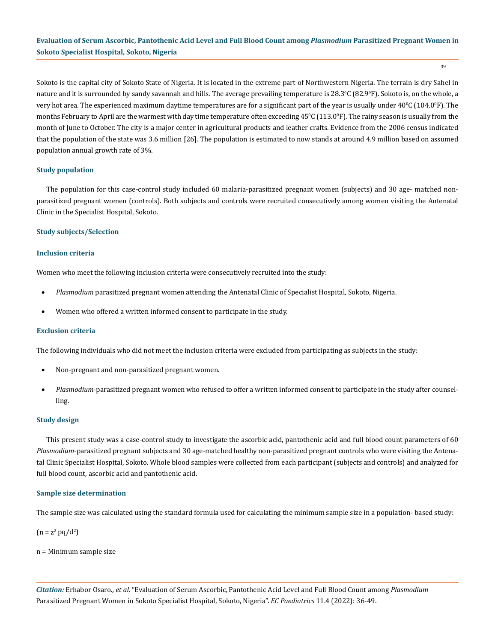39

Sokoto is the capital city of Sokoto State of Nigeria. It is located in the extreme part of Northwestern Nigeria. The terrain is dry Sahel in nature and it is surrounded by sandy savannah and hills. The average prevailing temperature is 28.3°C (82.9°F). Sokoto is, on the whole, a very hot area. The experienced maximum daytime temperatures are for a significant part of the year is usually under  $40^{\circ}$ C ( $104.0^{\circ}$ F). The months February to April are the warmest with day time temperature often exceeding  $45^{\circ}\mathrm{C}$  (113.0°F). The rainy season is usually from the month of June to October. The city is a major center in agricultural products and leather crafts. Evidence from the 2006 census indicated that the population of the state was 3.6 million [26]. The population is estimated to now stands at around 4.9 million based on assumed population annual growth rate of 3%.

#### **Study population**

The population for this case-control study included 60 malaria-parasitized pregnant women (subjects) and 30 age- matched nonparasitized pregnant women (controls). Both subjects and controls were recruited consecutively among women visiting the Antenatal Clinic in the Specialist Hospital, Sokoto.

#### **Study subjects/Selection**

#### **Inclusion criteria**

Women who meet the following inclusion criteria were consecutively recruited into the study:

- Plasmodium parasitized pregnant women attending the Antenatal Clinic of Specialist Hospital, Sokoto, Nigeria.
- Women who offered a written informed consent to participate in the study.

#### **Exclusion criteria**

The following individuals who did not meet the inclusion criteria were excluded from participating as subjects in the study:

- Non-pregnant and non-parasitized pregnant women.
- Plasmodium-parasitized pregnant women who refused to offer a written informed consent to participate in the study after counselling.

#### **Study design**

This present study was a case-control study to investigate the ascorbic acid, pantothenic acid and full blood count parameters of 60 *Plasmodium*-parasitized pregnant subjects and 30 age-matched healthy non-parasitized pregnant controls who were visiting the Antenatal Clinic Specialist Hospital, Sokoto. Whole blood samples were collected from each participant (subjects and controls) and analyzed for full blood count, ascorbic acid and pantothenic acid.

#### **Sample size determination**

The sample size was calculated using the standard formula used for calculating the minimum sample size in a population- based study:

 $(n = z^2 pq/d^2)$ 

n = Minimum sample size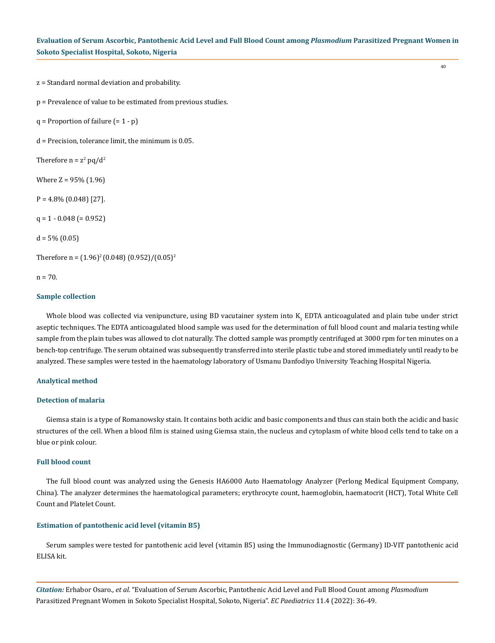z = Standard normal deviation and probability.

p = Prevalence of value to be estimated from previous studies.

 $q$  = Proportion of failure  $(= 1 - p)$ 

d = Precision, tolerance limit, the minimum is 0.05.

Therefore  $n = z^2 pq/d^2$ 

Where Z = 95% (1.96)

 $P = 4.8\% (0.048) [27]$ .

 $q = 1 - 0.048$  (= 0.952)

 $d = 5\% (0.05)$ 

Therefore n =  $(1.96)^2(0.048)(0.952)/(0.05)^2$ 

 $n = 70.$ 

#### **Sample collection**

Whole blood was collected via venipuncture, using BD vacutainer system into K<sub>3</sub> EDTA anticoagulated and plain tube under strict aseptic techniques. The EDTA anticoagulated blood sample was used for the determination of full blood count and malaria testing while sample from the plain tubes was allowed to clot naturally. The clotted sample was promptly centrifuged at 3000 rpm for ten minutes on a bench-top centrifuge. The serum obtained was subsequently transferred into sterile plastic tube and stored immediately until ready to be analyzed. These samples were tested in the haematology laboratory of Usmanu Danfodiyo University Teaching Hospital Nigeria.

#### **Analytical method**

#### **Detection of malaria**

Giemsa stain is a type of Romanowsky stain. It contains both acidic and basic components and thus can stain both the acidic and basic structures of the cell. When a blood film is stained using Giemsa stain, the nucleus and cytoplasm of white blood cells tend to take on a blue or pink colour.

## **Full blood count**

The full blood count was analyzed using the Genesis HA6000 Auto Haematology Analyzer (Perlong Medical Equipment Company, China). The analyzer determines the haematological parameters; erythrocyte count, haemoglobin, haematocrit (HCT), Total White Cell Count and Platelet Count.

## **Estimation of pantothenic acid level (vitamin B5)**

Serum samples were tested for pantothenic acid level (vitamin B5) using the Immunodiagnostic (Germany) ID-VIT pantothenic acid ELISA kit.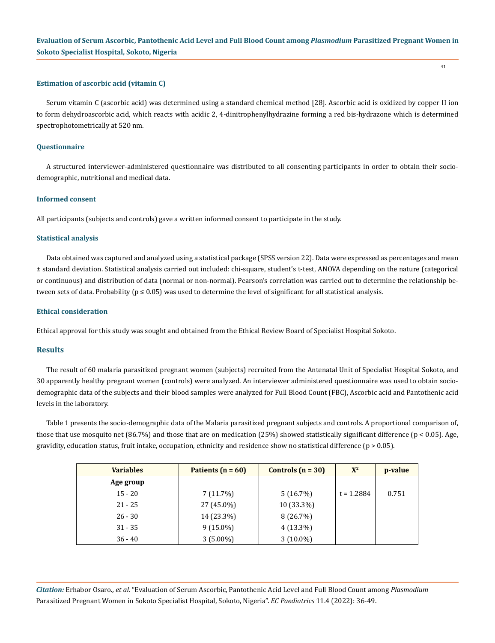#### **Estimation of ascorbic acid (vitamin C)**

Serum vitamin C (ascorbic acid) was determined using a standard chemical method [28]. Ascorbic acid is oxidized by copper II ion to form dehydroascorbic acid, which reacts with acidic 2, 4-dinitrophenylhydrazine forming a red bis-hydrazone which is determined spectrophotometrically at 520 nm.

#### **Questionnaire**

A structured interviewer-administered questionnaire was distributed to all consenting participants in order to obtain their sociodemographic, nutritional and medical data.

#### **Informed consent**

All participants (subjects and controls) gave a written informed consent to participate in the study.

#### **Statistical analysis**

Data obtained was captured and analyzed using a statistical package (SPSS version 22). Data were expressed as percentages and mean ± standard deviation. Statistical analysis carried out included: chi-square, student's t-test, ANOVA depending on the nature (categorical or continuous) and distribution of data (normal or non-normal). Pearson's correlation was carried out to determine the relationship between sets of data. Probability ( $p \le 0.05$ ) was used to determine the level of significant for all statistical analysis.

#### **Ethical consideration**

Ethical approval for this study was sought and obtained from the Ethical Review Board of Specialist Hospital Sokoto.

#### **Results**

The result of 60 malaria parasitized pregnant women (subjects) recruited from the Antenatal Unit of Specialist Hospital Sokoto, and 30 apparently healthy pregnant women (controls) were analyzed. An interviewer administered questionnaire was used to obtain sociodemographic data of the subjects and their blood samples were analyzed for Full Blood Count (FBC), Ascorbic acid and Pantothenic acid levels in the laboratory.

Table 1 presents the socio-demographic data of the Malaria parasitized pregnant subjects and controls. A proportional comparison of, those that use mosquito net  $(86.7%)$  and those that are on medication  $(25%)$  showed statistically significant difference  $(p < 0.05)$ . Age, gravidity, education status, fruit intake, occupation, ethnicity and residence show no statistical difference ( $p > 0.05$ ).

| <b>Variables</b> | Patients $(n = 60)$ | Controls $(n = 30)$ | $X^2$        | p-value |
|------------------|---------------------|---------------------|--------------|---------|
| Age group        |                     |                     |              |         |
| $15 - 20$        | 7(11.7%)            | 5(16.7%)            | $t = 1.2884$ | 0.751   |
| $21 - 25$        | 27 (45.0%)          | 10 (33.3%)          |              |         |
| $26 - 30$        | 14 (23.3%)          | 8 (26.7%)           |              |         |
| $31 - 35$        | $9(15.0\%)$         | $4(13.3\%)$         |              |         |
| $36 - 40$        | $3(5.00\%)$         | $3(10.0\%)$         |              |         |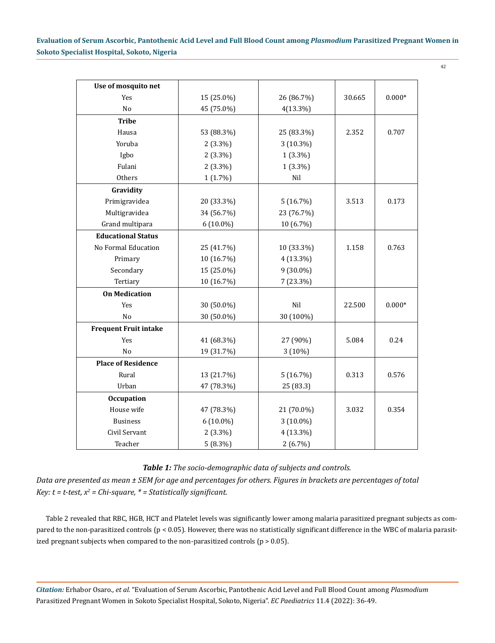42

| Use of mosquito net          |             |             |        |          |
|------------------------------|-------------|-------------|--------|----------|
| Yes                          | 15 (25.0%)  | 26 (86.7%)  | 30.665 | $0.000*$ |
| No                           | 45 (75.0%)  | $4(13.3\%)$ |        |          |
| <b>Tribe</b>                 |             |             |        |          |
| Hausa                        | 53 (88.3%)  | 25 (83.3%)  | 2.352  | 0.707    |
| Yoruba                       | $2(3.3\%)$  | 3 (10.3%)   |        |          |
| Igbo                         | $2(3.3\%)$  | $1(3.3\%)$  |        |          |
| Fulani                       | $2(3.3\%)$  | $1(3.3\%)$  |        |          |
| Others                       | $1(1.7\%)$  | Nil         |        |          |
|                              |             |             |        |          |
| Gravidity                    |             |             |        |          |
| Primigravidea                | 20 (33.3%)  | 5(16.7%)    | 3.513  | 0.173    |
| Multigravidea                | 34 (56.7%)  | 23 (76.7%)  |        |          |
| Grand multipara              | $6(10.0\%)$ | 10 (6.7%)   |        |          |
| <b>Educational Status</b>    |             |             |        |          |
| No Formal Education          | 25 (41.7%)  | 10 (33.3%)  | 1.158  | 0.763    |
| Primary                      | 10 (16.7%)  | 4 (13.3%)   |        |          |
| Secondary                    | 15 (25.0%)  | 9 (30.0%)   |        |          |
| Tertiary                     | 10 (16.7%)  | 7 (23.3%)   |        |          |
| <b>On Medication</b>         |             |             |        |          |
| Yes                          | 30 (50.0%)  | Nil         | 22.500 | $0.000*$ |
| N <sub>o</sub>               | 30 (50.0%)  | 30 (100%)   |        |          |
| <b>Frequent Fruit intake</b> |             |             |        |          |
| Yes                          | 41 (68.3%)  | 27 (90%)    | 5.084  | 0.24     |
| N <sub>o</sub>               | 19 (31.7%)  |             |        |          |
| <b>Place of Residence</b>    |             |             |        |          |
| Rural                        | 13 (21.7%)  | 5(16.7%)    | 0.313  | 0.576    |
| Urban                        | 47 (78.3%)  | 25 (83.3)   |        |          |
| <b>Occupation</b>            |             |             |        |          |
| House wife                   | 47 (78.3%)  | 21 (70.0%)  | 3.032  | 0.354    |
| <b>Business</b>              | $6(10.0\%)$ | 3 (10.0%)   |        |          |
| Civil Servant                | $2(3.3\%)$  | 4 (13.3%)   |        |          |
| Teacher                      | $5(8.3\%)$  | $2(6.7\%)$  |        |          |

## *Table 1: The socio-demographic data of subjects and controls.*

*Data are presented as mean ± SEM for age and percentages for others. Figures in brackets are percentages of total Key: t = t-test, x2 = Chi-square, \* = Statistically significant.*

Table 2 revealed that RBC, HGB, HCT and Platelet levels was significantly lower among malaria parasitized pregnant subjects as compared to the non-parasitized controls (p < 0.05). However, there was no statistically significant difference in the WBC of malaria parasitized pregnant subjects when compared to the non-parasitized controls  $(p > 0.05)$ .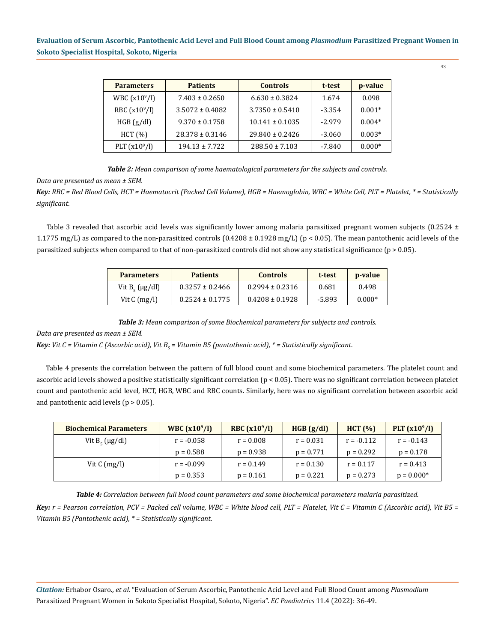| <b>Parameters</b> | <b>Patients</b>     | <b>Controls</b>     | t-test   | p-value  |
|-------------------|---------------------|---------------------|----------|----------|
| WBC $(x10^{9}/l)$ | $7.403 \pm 0.2650$  | $6.630 \pm 0.3824$  | 1.674    | 0.098    |
| RBC $(x10^9/l)$   | $3.5072 \pm 0.4082$ | $3.7350 \pm 0.5410$ | $-3.354$ | $0.001*$ |
| HGB(g/dl)         | $9.370 \pm 0.1758$  | $10.141 \pm 0.1035$ | $-2.979$ | $0.004*$ |
| HCT (%)           | $28.378 \pm 0.3146$ | $29.840 \pm 0.2426$ | $-3.060$ | $0.003*$ |
| PLT $(x10^9/l)$   | $194.13 \pm 7.722$  | $288.50 \pm 7.103$  | -7.840   | $0.000*$ |

*Table 2: Mean comparison of some haematological parameters for the subjects and controls.*

*Data are presented as mean ± SEM.* 

*Key: RBC = Red Blood Cells, HCT = Haematocrit (Packed Cell Volume), HGB = Haemoglobin, WBC = White Cell, PLT = Platelet, \* = Statistically significant.*

Table 3 revealed that ascorbic acid levels was significantly lower among malaria parasitized pregnant women subjects  $(0.2524 \pm 1.0006)$ 1.1775 mg/L) as compared to the non-parasitized controls  $(0.4208 \pm 0.1928 \text{ mg/L})$  (p < 0.05). The mean pantothenic acid levels of the parasitized subjects when compared to that of non-parasitized controls did not show any statistical significance (p > 0.05).

| <b>Parameters</b>          | <b>Patients</b>     | <b>Controls</b>     | t-test | <b>p</b> -value |
|----------------------------|---------------------|---------------------|--------|-----------------|
| Vit $B_{\epsilon}$ (µg/dl) | $0.3257 \pm 0.2466$ | $0.2994 \pm 0.2316$ | 0.681  | 0.498           |
| Vit $C \, (\text{mg/l})$   | $0.2524 \pm 0.1775$ | $0.4208 \pm 0.1928$ | -5.893 | $0.000*$        |

*Table 3: Mean comparison of some Biochemical parameters for subjects and controls.*

#### *Data are presented as mean ± SEM.*

*Key: Vit C = Vitamin C (Ascorbic acid), Vit B<sub>5</sub> = Vitamin B5 (pantothenic acid), \* = Statistically significant.* 

Table 4 presents the correlation between the pattern of full blood count and some biochemical parameters. The platelet count and ascorbic acid levels showed a positive statistically significant correlation (p < 0.05). There was no significant correlation between platelet count and pantothenic acid level, HCT, HGB, WBC and RBC counts. Similarly, here was no significant correlation between ascorbic acid and pantothenic acid levels ( $p > 0.05$ ).

| <b>Biochemical Parameters</b> | <b>WBC</b> $(x10^9/l)$ | RBC $(x10^9/l)$ | HGB(g/dl)   | HCT (%)      | PLT $(x10^9/l)$ |
|-------------------------------|------------------------|-----------------|-------------|--------------|-----------------|
| Vit $B_{\epsilon}$ (µg/dl)    | $r = -0.058$           | $r = 0.008$     | $r = 0.031$ | $r = -0.112$ | $r = -0.143$    |
|                               | $p = 0.588$            | $p = 0.938$     | $p = 0.771$ | $p = 0.292$  | $p = 0.178$     |
| Vit $C \, (\text{mg/l})$      | $r = -0.099$           | $r = 0.149$     | $r = 0.130$ | $r = 0.117$  | $r = 0.413$     |
|                               | $p = 0.353$            | $p = 0.161$     | $p = 0.221$ | $p = 0.273$  | $p = 0.000*$    |

*Table 4: Correlation between full blood count parameters and some biochemical parameters malaria parasitized.*

*Key: r = Pearson correlation, PCV = Packed cell volume, WBC = White blood cell, PLT = Platelet, Vit C = Vitamin C (Ascorbic acid), Vit B5 = Vitamin B5 (Pantothenic acid), \* = Statistically significant.* 

*Citation:* Erhabor Osaro*., et al.* "Evaluation of Serum Ascorbic, Pantothenic Acid Level and Full Blood Count among *Plasmodium*  Parasitized Pregnant Women in Sokoto Specialist Hospital, Sokoto, Nigeria". *EC Paediatrics* 11.4 (2022): 36-49.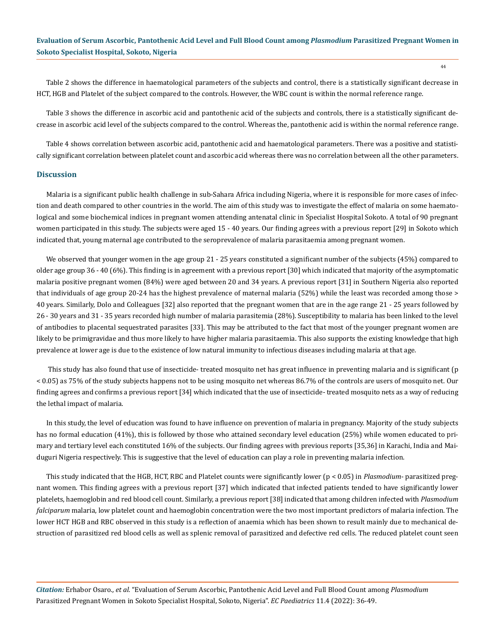Table 2 shows the difference in haematological parameters of the subjects and control, there is a statistically significant decrease in HCT, HGB and Platelet of the subject compared to the controls. However, the WBC count is within the normal reference range.

Table 3 shows the difference in ascorbic acid and pantothenic acid of the subjects and controls, there is a statistically significant decrease in ascorbic acid level of the subjects compared to the control. Whereas the, pantothenic acid is within the normal reference range.

Table 4 shows correlation between ascorbic acid, pantothenic acid and haematological parameters. There was a positive and statistically significant correlation between platelet count and ascorbic acid whereas there was no correlation between all the other parameters.

#### **Discussion**

Malaria is a significant public health challenge in sub-Sahara Africa including Nigeria, where it is responsible for more cases of infection and death compared to other countries in the world. The aim of this study was to investigate the effect of malaria on some haematological and some biochemical indices in pregnant women attending antenatal clinic in Specialist Hospital Sokoto. A total of 90 pregnant women participated in this study. The subjects were aged 15 - 40 years. Our finding agrees with a previous report [29] in Sokoto which indicated that, young maternal age contributed to the seroprevalence of malaria parasitaemia among pregnant women.

We observed that younger women in the age group 21 - 25 years constituted a significant number of the subjects (45%) compared to older age group 36 - 40 (6%). This finding is in agreement with a previous report [30] which indicated that majority of the asymptomatic malaria positive pregnant women (84%) were aged between 20 and 34 years. A previous report [31] in Southern Nigeria also reported that individuals of age group 20-24 has the highest prevalence of maternal malaria (52%) while the least was recorded among those > 40 years. Similarly, Dolo and Colleagues [32] also reported that the pregnant women that are in the age range 21 - 25 years followed by 26 - 30 years and 31 - 35 years recorded high number of malaria parasitemia (28%). Susceptibility to malaria has been linked to the level of antibodies to placental sequestrated parasites [33]. This may be attributed to the fact that most of the younger pregnant women are likely to be primigravidae and thus more likely to have higher malaria parasitaemia. This also supports the existing knowledge that high prevalence at lower age is due to the existence of low natural immunity to infectious diseases including malaria at that age.

 This study has also found that use of insecticide- treated mosquito net has great influence in preventing malaria and is significant (p < 0.05) as 75% of the study subjects happens not to be using mosquito net whereas 86.7% of the controls are users of mosquito net. Our finding agrees and confirms a previous report [34] which indicated that the use of insecticide- treated mosquito nets as a way of reducing the lethal impact of malaria.

In this study, the level of education was found to have influence on prevention of malaria in pregnancy. Majority of the study subjects has no formal education (41%), this is followed by those who attained secondary level education (25%) while women educated to primary and tertiary level each constituted 16% of the subjects. Our finding agrees with previous reports [35,36] in Karachi, India and Maiduguri Nigeria respectively. This is suggestive that the level of education can play a role in preventing malaria infection.

This study indicated that the HGB, HCT, RBC and Platelet counts were significantly lower (p < 0.05) in *Plasmodium*- parasitized pregnant women. This finding agrees with a previous report [37] which indicated that infected patients tended to have significantly lower platelets, haemoglobin and red blood cell count. Similarly, a previous report [38] indicated that among children infected with *Plasmodium falciparum* malaria, low platelet count and haemoglobin concentration were the two most important predictors of malaria infection. The lower HCT HGB and RBC observed in this study is a reflection of anaemia which has been shown to result mainly due to mechanical destruction of parasitized red blood cells as well as splenic removal of parasitized and defective red cells. The reduced platelet count seen

*Citation:* Erhabor Osaro*., et al.* "Evaluation of Serum Ascorbic, Pantothenic Acid Level and Full Blood Count among *Plasmodium*  Parasitized Pregnant Women in Sokoto Specialist Hospital, Sokoto, Nigeria". *EC Paediatrics* 11.4 (2022): 36-49.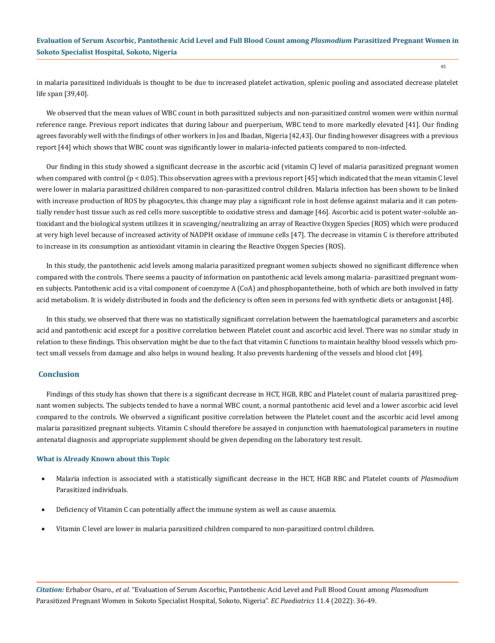in malaria parasitized individuals is thought to be due to increased platelet activation, splenic pooling and associated decrease platelet life span [39,40].

We observed that the mean values of WBC count in both parasitized subjects and non-parasitized control women were within normal reference range. Previous report indicates that during labour and puerperium, WBC tend to more markedly elevated [41]. Our finding agrees favorably well with the findings of other workers in Jos and Ibadan, Nigeria [42,43]. Our finding however disagrees with a previous report [44] which shows that WBC count was significantly lower in malaria-infected patients compared to non-infected.

Our finding in this study showed a significant decrease in the ascorbic acid (vitamin C) level of malaria parasitized pregnant women when compared with control (p < 0.05). This observation agrees with a previous report [45] which indicated that the mean vitamin C level were lower in malaria parasitized children compared to non-parasitized control children. Malaria infection has been shown to be linked with increase production of ROS by phagocytes, this change may play a significant role in host defense against malaria and it can potentially render host tissue such as red cells more susceptible to oxidative stress and damage [46]. Ascorbic acid is potent water-soluble antioxidant and the biological system utilizes it in scavenging/neutralizing an array of Reactive Oxygen Species (ROS) which were produced at very high level because of increased activity of NADPH oxidase of immune cells [47]. The decrease in vitamin C is therefore attributed to increase in its consumption as antioxidant vitamin in clearing the Reactive Oxygen Species (ROS).

In this study, the pantothenic acid levels among malaria parasitized pregnant women subjects showed no significant difference when compared with the controls. There seems a paucity of information on pantothenic acid levels among malaria- parasitized pregnant women subjects. Pantothenic acid is a vital component of coenzyme A (CoA) and phosphopantetheine, both of which are both involved in fatty acid metabolism. It is widely distributed in foods and the deficiency is often seen in persons fed with synthetic diets or antagonist [48].

In this study, we observed that there was no statistically significant correlation between the haematological parameters and ascorbic acid and pantothenic acid except for a positive correlation between Platelet count and ascorbic acid level. There was no similar study in relation to these findings. This observation might be due to the fact that vitamin C functions to maintain healthy blood vessels which protect small vessels from damage and also helps in wound healing. It also prevents hardening of the vessels and blood clot [49].

## **Conclusion**

Findings of this study has shown that there is a significant decrease in HCT, HGB, RBC and Platelet count of malaria parasitized pregnant women subjects. The subjects tended to have a normal WBC count, a normal pantothenic acid level and a lower ascorbic acid level compared to the controls. We observed a significant positive correlation between the Platelet count and the ascorbic acid level among malaria parasitized pregnant subjects. Vitamin C should therefore be assayed in conjunction with haematological parameters in routine antenatal diagnosis and appropriate supplement should be given depending on the laboratory test result.

## **What is Already Known about this Topic**

- Malaria infection is associated with a statistically significant decrease in the HCT, HGB RBC and Platelet counts of *Plasmodium* Parasitized individuals.
- Deficiency of Vitamin C can potentially affect the immune system as well as cause anaemia.
- Vitamin C level are lower in malaria parasitized children compared to non-parasitized control children.

*Citation:* Erhabor Osaro*., et al.* "Evaluation of Serum Ascorbic, Pantothenic Acid Level and Full Blood Count among *Plasmodium*  Parasitized Pregnant Women in Sokoto Specialist Hospital, Sokoto, Nigeria". *EC Paediatrics* 11.4 (2022): 36-49.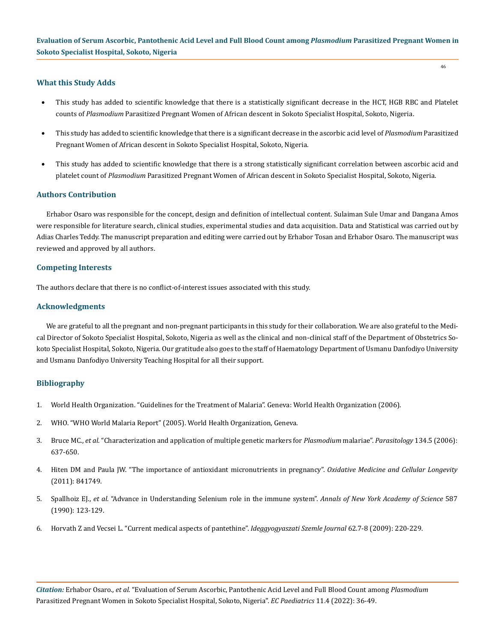## **What this Study Adds**

- This study has added to scientific knowledge that there is a statistically significant decrease in the HCT, HGB RBC and Platelet counts of *Plasmodium* Parasitized Pregnant Women of African descent in Sokoto Specialist Hospital, Sokoto, Nigeria.
- • This study has added to scientific knowledge that there is a significant decrease in the ascorbic acid level of *Plasmodium* Parasitized Pregnant Women of African descent in Sokoto Specialist Hospital, Sokoto, Nigeria.
- This study has added to scientific knowledge that there is a strong statistically significant correlation between ascorbic acid and platelet count of *Plasmodium* Parasitized Pregnant Women of African descent in Sokoto Specialist Hospital, Sokoto, Nigeria.

## **Authors Contribution**

Erhabor Osaro was responsible for the concept, design and definition of intellectual content. Sulaiman Sule Umar and Dangana Amos were responsible for literature search, clinical studies, experimental studies and data acquisition. Data and Statistical was carried out by Adias Charles Teddy. The manuscript preparation and editing were carried out by Erhabor Tosan and Erhabor Osaro. The manuscript was reviewed and approved by all authors.

## **Competing Interests**

The authors declare that there is no conflict-of-interest issues associated with this study.

## **Acknowledgments**

We are grateful to all the pregnant and non-pregnant participants in this study for their collaboration. We are also grateful to the Medical Director of Sokoto Specialist Hospital, Sokoto, Nigeria as well as the clinical and non-clinical staff of the Department of Obstetrics Sokoto Specialist Hospital, Sokoto, Nigeria. Our gratitude also goes to the staff of Haematology Department of Usmanu Danfodiyo University and Usmanu Danfodiyo University Teaching Hospital for all their support.

## **Bibliography**

- 1. World Health Organization. "Guidelines for the Treatment of Malaria". Geneva: World Health Organization (2006).
- 2. [WHO. "WHO World Malaria Report" \(2005\). World Health Organization, Geneva.](https://www.who.int/publications/i/item/9241593199)
- 3. Bruce MC., *et al*[. "Characterization and application of multiple genetic markers for](https://www.ncbi.nlm.nih.gov/pmc/articles/PMC1868962/) *Plasmodium* malariae". *Parasitology* 134.5 (2006): [637-650.](https://www.ncbi.nlm.nih.gov/pmc/articles/PMC1868962/)
- 4. [Hiten DM and Paula JW. "The importance of antioxidant micronutrients in pregnancy".](https://pubmed.ncbi.nlm.nih.gov/21918714/) *Oxidative Medicine and Cellular Longevity*  [\(2011\): 841749.](https://pubmed.ncbi.nlm.nih.gov/21918714/)
- 5. Spallhoiz EJ., *et al*[. "Advance in Understanding Selenium role in the immune system".](https://pubmed.ncbi.nlm.nih.gov/2193564/) *Annals of New York Academy of Science* 587 [\(1990\): 123-129.](https://pubmed.ncbi.nlm.nih.gov/2193564/)
- 6. [Horvath Z and Vecsei L. "Current medical aspects of pantethine".](https://pubmed.ncbi.nlm.nih.gov/19685700/) *Ideggyogyaszati Szemle Journal* 62.7-8 (2009): 220-229.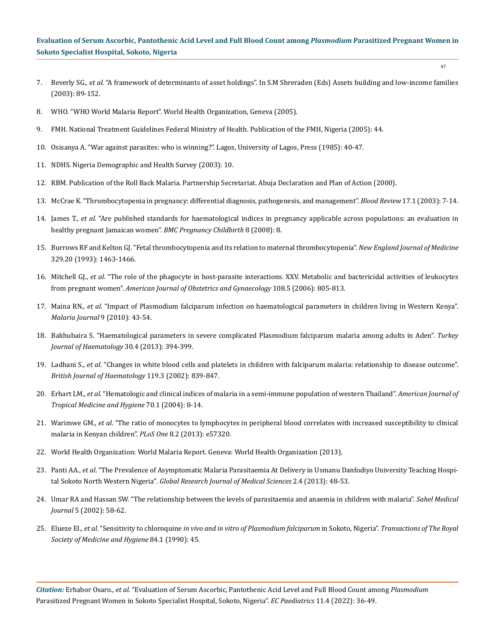- 7. Beverly SG., *et al*. "A framework of determinants of asset holdings". In S.M Shreraden (Eds) Assets building and low-income families (2003): 89-152.
- 8. WHO. "WHO World Malaria Report". World Health Organization, Geneva (2005).
- 9. FMH. National Treatment Guidelines Federal Ministry of Health. Publication of the FMH, Nigeria (2005): 44.
- 10. Osisanya A. "War against parasites: who is winning?". Lagos, University of Lagos, Press (1985): 40-47.
- 11. NDHS. Nigeria Demographic and Health Survey (2003): 10.
- 12. RBM. Publication of the Roll Back Malaria. Partnership Secretariat. Abuja Declaration and Plan of Action (2000).
- 13. [McCrae K. "Thrombocytopenia in pregnancy: differential diagnosis, pathogenesis, and management".](https://pubmed.ncbi.nlm.nih.gov/12490206/) *Blood Review* 17.1 (2003): 7-14.
- 14. James T., *et al*[. "Are published standards for haematological indices in pregnancy applicable across populations: an evaluation in](https://pubmed.ncbi.nlm.nih.gov/18307810/)  [healthy pregnant Jamaican women".](https://pubmed.ncbi.nlm.nih.gov/18307810/) *BMC Pregnancy Childbirth* 8 (2008): 8.
- 15. [Burrows RF and Kelton GJ. "Fetal thrombocytopenia and its relation to maternal thrombocytopenia".](https://pubmed.ncbi.nlm.nih.gov/8413457/) *New England Journal of Medicine*  [329.20 \(1993\): 1463-1466.](https://pubmed.ncbi.nlm.nih.gov/8413457/)
- 16. Mitchell GJ., *et al*[. "The role of the phagocyte in host-parasite interactions. XXV. Metabolic and bactericidal activities of leukocytes](https://pubmed.ncbi.nlm.nih.gov/4394294/)  from pregnant women". *[American Journal of Obstetrics and Gynaecology](https://pubmed.ncbi.nlm.nih.gov/4394294/)* 108.5 (2006): 805-813.
- 17. Maina RN., *et al*[. "Impact of Plasmodium falciparum infection on haematological parameters in children living in Western Kenya".](https://malariajournal.biomedcentral.com/articles/10.1186/1475-2875-9-S3-S4)  *[Malaria Journal](https://malariajournal.biomedcentral.com/articles/10.1186/1475-2875-9-S3-S4)* 9 (2010): 43-54.
- 18. [Bakhubaira S. "Haematological parameters in severe complicated Plasmodium falciparum malaria among adults in Aden".](https://pubmed.ncbi.nlm.nih.gov/24385830/) *Turkey [Journal of Haematology](https://pubmed.ncbi.nlm.nih.gov/24385830/)* 30.4 (2013): 394-399.
- 19. Ladhani S., *et al*[. "Changes in white blood cells and platelets in children with falciparum malaria: relationship to disease outcome".](https://pubmed.ncbi.nlm.nih.gov/12437669/)  *[British Journal of Haematology](https://pubmed.ncbi.nlm.nih.gov/12437669/)* 119.3 (2002): 839-847.
- 20. Erhart LM., *et al*[. "Hematologic and clinical indices of malaria in a semi-immune population of western Thailand".](https://pubmed.ncbi.nlm.nih.gov/14971691/) *American Journal of [Tropical Medicine and Hygiene](https://pubmed.ncbi.nlm.nih.gov/14971691/)* 70.1 (2004): 8-14.
- 21. Warimwe GM., *et al*[. "The ratio of monocytes to lymphocytes in peripheral blood correlates with increased susceptibility to clinical](https://pubmed.ncbi.nlm.nih.gov/23437368/)  [malaria in Kenyan children".](https://pubmed.ncbi.nlm.nih.gov/23437368/) *PLoS One* 8.2 (2013): e57320.
- 22. [World Health Organization: World Malaria Report. Geneva: World Health Organization \(2013\).](https://apps.who.int/iris/bitstream/handle/10665/97008/9789241564694_eng.pdf?sequence=1)
- 23. Panti AA., *et al*[. "The Prevalence of Asymptomatic Malaria Parasitaemia At Delivery in Usmanu Danfodiyo University Teaching Hospi](https://www.globalresearchjournals.org/journal/grjms/archive/december-2012-vol-2(4)/the-prevalence-of-asymptomatic-malaria-parasitaemia-at-delivery-in-usmanu-danfodiyo-university-teaching-hospital-sokoto-north-western-nigeria)tal Sokoto North Western Nigeria"*[. Global Research Journal of Medical Sciences](https://www.globalresearchjournals.org/journal/grjms/archive/december-2012-vol-2(4)/the-prevalence-of-asymptomatic-malaria-parasitaemia-at-delivery-in-usmanu-danfodiyo-university-teaching-hospital-sokoto-north-western-nigeria)* 2.4 (2013): 48-53.
- 24. Umar RA and Hassan SW. "The relationship between the levels of parasitaemia and anaemia in children with malaria". *Sahel Medical Journal* 5 (2002): 58-62.
- 25. Elueze EI., *et al*. "Sensitivity to chloroquine *[in vivo and in vitro of Plasmodium falciparum](https://academic.oup.com/trstmh/article-abstract/84/1/45/1899562?redirectedFrom=fulltext)* in Sokoto, Nigeria". *Transactions of The Royal [Society of Medicine and Hygiene](https://academic.oup.com/trstmh/article-abstract/84/1/45/1899562?redirectedFrom=fulltext)* 84.1 (1990): 45.

*Citation:* Erhabor Osaro*., et al.* "Evaluation of Serum Ascorbic, Pantothenic Acid Level and Full Blood Count among *Plasmodium*  Parasitized Pregnant Women in Sokoto Specialist Hospital, Sokoto, Nigeria". *EC Paediatrics* 11.4 (2022): 36-49.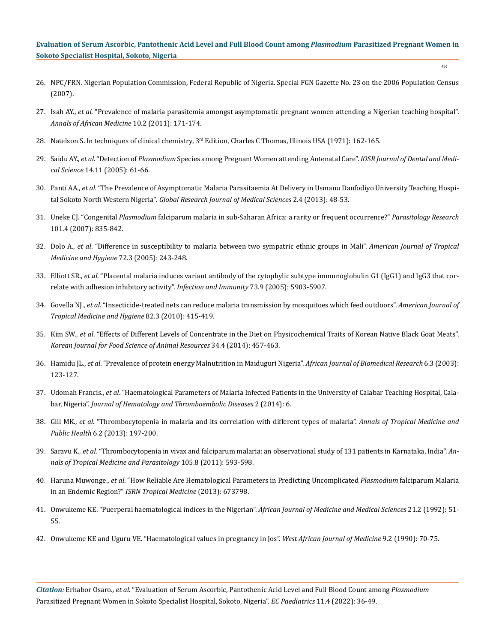- 48
- 26. NPC/FRN. Nigerian Population Commission, Federal Republic of Nigeria. Special FGN Gazette No. 23 on the 2006 Population Census (2007).
- 27. Isah AY., *et al*[. "Prevalence of malaria parasitemia amongst asymptomatic pregnant women attending a Nigerian teaching hospital".](https://pubmed.ncbi.nlm.nih.gov/21691026/)  *[Annals of African Medicine](https://pubmed.ncbi.nlm.nih.gov/21691026/)* 10.2 (2011): 171-174.
- 28. Natelson S. In techniques of clinical chemistry, 3<sup>rd</sup> Edition, Charles C Thomas, Illinois USA (1971): 162-165.
- 29. Saidu AY., *et al*. "Detection of *Plasmodium* [Species among Pregnant Women attending Antenatal Care".](https://www.researchgate.net/publication/305933360_Detection_of_Plasmodium_Species_among_Pregnant_Women_attending_Antenatal_Care) *IOSR Journal of Dental and Medical Science* [14.11 \(2005\): 61-66.](https://www.researchgate.net/publication/305933360_Detection_of_Plasmodium_Species_among_Pregnant_Women_attending_Antenatal_Care)
- 30. Panti AA., *et al*[. "The Prevalence of Asymptomatic Malaria Parasitaemia At Delivery in Usmanu Danfodiyo University Teaching Hospi](https://www.globalresearchjournals.org/journal/grjms/archive/december-2012-vol-2(4)/the-prevalence-of-asymptomatic-malaria-parasitaemia-at-delivery-in-usmanu-danfodiyo-university-teaching-hospital-sokoto-north-western-nigeria)tal Sokoto North Western Nigeria"*[. Global Research Journal of Medical Sciences](https://www.globalresearchjournals.org/journal/grjms/archive/december-2012-vol-2(4)/the-prevalence-of-asymptomatic-malaria-parasitaemia-at-delivery-in-usmanu-danfodiyo-university-teaching-hospital-sokoto-north-western-nigeria)* 2.4 (2013): 48-53.
- 31. Uneke CJ. "Congenital *Plasmodium* [falciparum malaria in sub-Saharan Africa: a rarity or frequent occurrence?"](https://pubmed.ncbi.nlm.nih.gov/17549517/) *Parasitology Research* [101.4 \(2007\): 835-842.](https://pubmed.ncbi.nlm.nih.gov/17549517/)
- 32. Dolo A., *et al*[. "Difference in susceptibility to malaria between two sympatric ethnic groups in Mali".](https://pubmed.ncbi.nlm.nih.gov/15772314/) *American Journal of Tropical [Medicine and Hygiene](https://pubmed.ncbi.nlm.nih.gov/15772314/)* 72.3 (2005): 243-248.
- 33. Elliott SR., *et al*[. "Placental malaria induces variant antibody of the cytophylic subtype immunoglobulin G1 \(IgG1\) and IgG3 that cor](https://pubmed.ncbi.nlm.nih.gov/16113309/)[relate with adhesion inhibitory activity".](https://pubmed.ncbi.nlm.nih.gov/16113309/) *Infection and Immunity* 73.9 (2005): 5903-5907.
- 34. Govella NJ., *et al*[. "Insecticide-treated nets can reduce malaria transmission by mosquitoes which feed outdoors".](https://www.ncbi.nlm.nih.gov/pmc/articles/PMC2829902/) *American Journal of [Tropical Medicine and Hygiene](https://www.ncbi.nlm.nih.gov/pmc/articles/PMC2829902/)* 82.3 (2010): 415-419.
- 35. Kim SW., *et al*[. "Effects of Different Levels of Concentrate in the Diet on Physicochemical Traits of Korean Native Black Goat Meats".](https://www.ncbi.nlm.nih.gov/pmc/articles/PMC4662149/)  *[Korean Journal for Food Science of Animal Resources](https://www.ncbi.nlm.nih.gov/pmc/articles/PMC4662149/)* 34.4 (2014): 457-463.
- 36. Hamidu JL., *et al*[. "Prevalence of protein energy Malnutrition in Maiduguri Nigeria".](https://www.ajol.info/index.php/ajbr/article/view/54039) *African Journal of Biomedical Research* 6.3 (2003): [123-127.](https://www.ajol.info/index.php/ajbr/article/view/54039)
- 37. Udomah Francis., *et al*[. "Haematological Parameters of Malaria Infected Patients in the University of Calabar Teaching Hospital, Cala](https://www.researchgate.net/publication/273295421_Haematological_Parameters_of_Malaria_Infected_Patients_in_the_University_of_Calabar_Teaching_Hospital_Calabar_Nigeria)bar, Nigeria". *[Journal of Hematology and Thromboembolic Diseases](https://www.researchgate.net/publication/273295421_Haematological_Parameters_of_Malaria_Infected_Patients_in_the_University_of_Calabar_Teaching_Hospital_Calabar_Nigeria)* 2 (2014): 6.
- 38. Gill MK., *et al*[. "Thrombocytopenia in malaria and its correlation with different types of malaria".](https://www.researchgate.net/publication/273685978_Thrombocytopenia_in_malaria_and_its_correlation_with_different_types_of_malaria) *Annals of Tropical Medicine and Public Health* [6.2 \(2013\): 197-200.](https://www.researchgate.net/publication/273685978_Thrombocytopenia_in_malaria_and_its_correlation_with_different_types_of_malaria)
- 39. Saravu K., *et al*[. "Thrombocytopenia in vivax and falciparum malaria: an observational study of 131 patients in Karnataka, India".](https://pubmed.ncbi.nlm.nih.gov/22325818/) *An[nals of Tropical Medicine and Parasitology](https://pubmed.ncbi.nlm.nih.gov/22325818/)* 105.8 (2011): 593-598.
- 40. Haruna Muwonge., *et al*[. "How Reliable Are Hematological Parameters in Predicting Uncomplicated](https://pubmed.ncbi.nlm.nih.gov/25285308/) *Plasmodium* falciparum Malaria in an Endemic Region?" *[ISRN Tropical Medicine](https://pubmed.ncbi.nlm.nih.gov/25285308/)* (2013): 673798.
- 41. [Onwukeme KE. "Puerperal haematological indices in the Nigerian".](https://pubmed.ncbi.nlm.nih.gov/1308082/) *African Journal of Medicine and Medical Sciences* 21.2 (1992): 51- [55.](https://pubmed.ncbi.nlm.nih.gov/1308082/)
- 42. [Onwukeme KE and Uguru VE. "Haematological values in pregnancy in Jos".](https://pubmed.ncbi.nlm.nih.gov/2268572/) *West African Journal of Medicine* 9.2 (1990): 70-75.